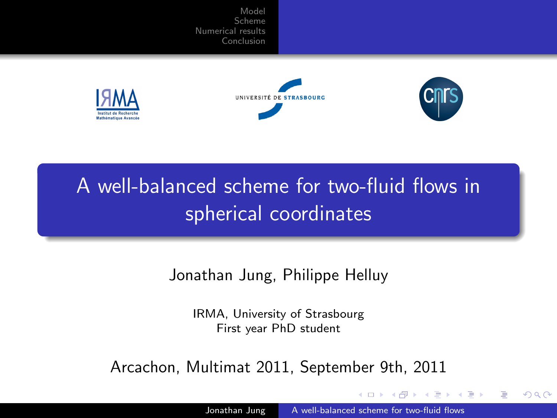





<span id="page-0-0"></span>つくへ

# A well-balanced scheme for two-fluid flows in spherical coordinates

Jonathan Jung, Philippe Helluy

IRMA, University of Strasbourg First year PhD student

Arcachon, Multimat 2011, September 9th, 2011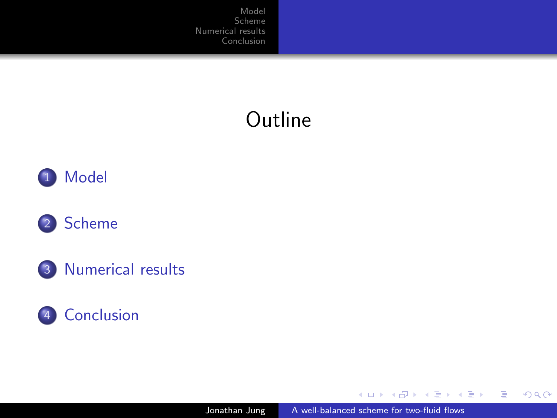# **Outline**



### 2 [Scheme](#page-6-0)





4日)

 $\mathbf{p}$ 

点

 $\mathcal{A} \xrightarrow{\sim} \mathcal{B} \rightarrow \mathcal{A} \xrightarrow{\sim} \mathcal{B} \rightarrow$ 

目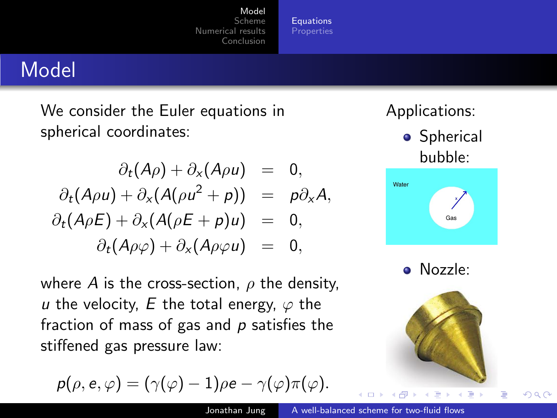**[Equations](#page-2-0)** [Properties](#page-5-0)

## Model

We consider the Euler equations in spherical coordinates:

$$
\partial_t (A\rho) + \partial_x (A\rho u) = 0,
$$
  
\n
$$
\partial_t (A\rho u) + \partial_x (A(\rho u^2 + \rho)) = \rho \partial_x A,
$$
  
\n
$$
\partial_t (A\rho E) + \partial_x (A(\rho E + \rho) u) = 0,
$$
  
\n
$$
\partial_t (A\rho \varphi) + \partial_x (A\rho \varphi u) = 0,
$$

where A is the cross-section,  $\rho$  the density, u the velocity, E the total energy,  $\varphi$  the fraction of mass of gas and  $p$  satisfies the stiffened gas pressure law:

$$
p(\rho, e, \varphi) = (\gamma(\varphi) - 1)\rho e - \gamma(\varphi)\pi(\varphi).
$$

Applications:

**•** Spherical bubble:



Nozzle:



<span id="page-2-0"></span>э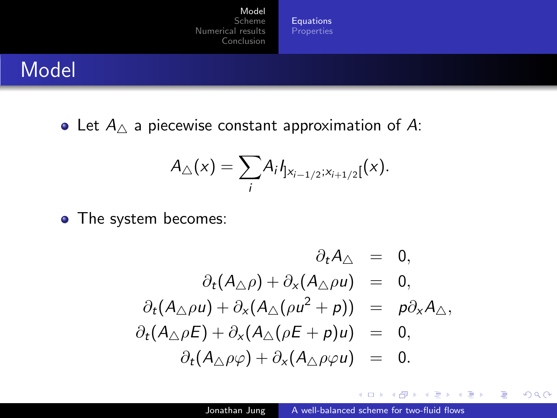[Equations](#page-2-0)

## Model

• Let  $A_{\wedge}$  a piecewise constant approximation of A:

$$
A_{\triangle}(x) = \sum_{i} A_{i} I_{x_{i-1/2};x_{i+1/2}}(x).
$$

• The system becomes:

$$
\partial_t A_\triangle = 0,
$$
\n
$$
\partial_t (A_\triangle \rho) + \partial_x (A_\triangle \rho u) = 0,
$$
\n
$$
\partial_t (A_\triangle \rho u) + \partial_x (A_\triangle (\rho u^2 + \rho)) = \rho \partial_x A_\triangle,
$$
\n
$$
\partial_t (A_\triangle \rho E) + \partial_x (A_\triangle (\rho E + \rho) u) = 0,
$$
\n
$$
\partial_t (A_\triangle \rho \varphi) + \partial_x (A_\triangle \rho \varphi u) = 0.
$$

4 0 8

メラトメ ミトメ ミト

E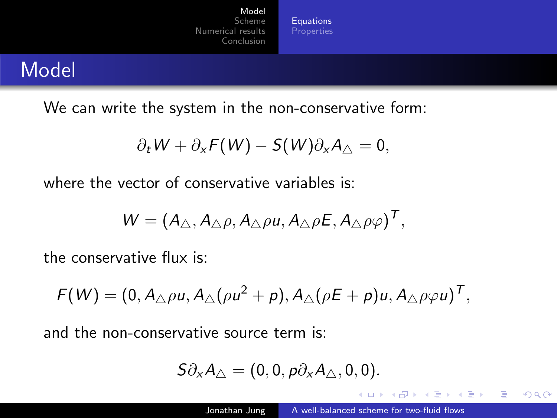**[Equations](#page-2-0)** [Properties](#page-5-0)

## Model

We can write the system in the non-conservative form:

$$
\partial_t W + \partial_x F(W) - S(W) \partial_x A_\triangle = 0,
$$

where the vector of conservative variables is:

$$
W = (A_{\triangle}, A_{\triangle}\rho, A_{\triangle}\rho u, A_{\triangle}\rho E, A_{\triangle}\rho\varphi)^{T},
$$

the conservative flux is:

$$
F(W) = (0, A_{\triangle}\rho u, A_{\triangle}(\rho u^2 + p), A_{\triangle}(\rho E + p)u, A_{\triangle}\rho\varphi u)^T,
$$

and the non-conservative source term is:

$$
S\partial_{x}A_{\triangle}=(0,0,p\partial_{x}A_{\triangle},0,0).
$$

E.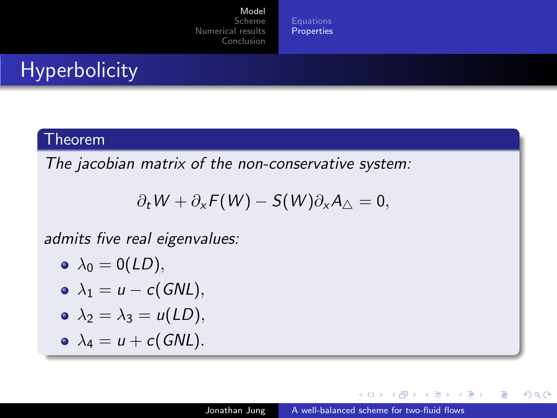[Properties](#page-5-0)

# **Hyperbolicity**

#### Theorem

The jacobian matrix of the non-conservative system:

$$
\partial_t W + \partial_x F(W) - S(W) \partial_x A_\triangle = 0,
$$

admits five real eigenvalues:

$$
\bullet \ \lambda_0=0(LD),
$$

$$
\bullet \ \lambda_1 = u - c(GNL),
$$

$$
\bullet \ \lambda_2 = \lambda_3 = u(LD),
$$

$$
\bullet \ \lambda_4 = u + c(GNL).
$$

and in

-41

母→ ∢∃→

一 4 三 下

つくへ

<span id="page-5-0"></span>э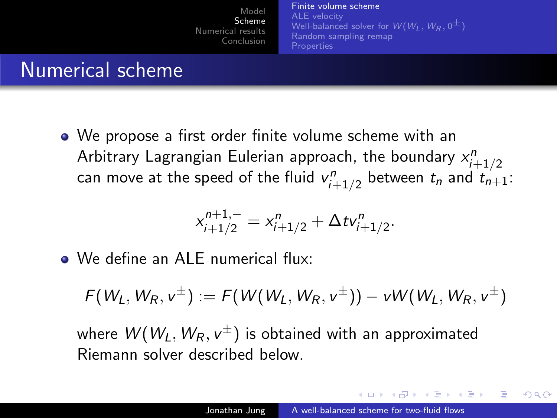[Finite volume scheme](#page-6-0) [ALE velocity](#page-9-0) [Well-balanced solver for](#page-10-0)  $W(W_1, W_R, 0^{\pm})$ [Random sampling remap](#page-15-0) **[Properties](#page-16-0)** 

# Numerical scheme

We propose a first order finite volume scheme with an Arbitrary Lagrangian Eulerian approach, the boundary  $x_{i+1/2}^n$ can move at the speed of the fluid  $\mathsf{v}^n_{i+1/2}$  between  $t_n$  and  $\mathsf{t}^{\prime}_{n+1}$ :

$$
x_{i+1/2}^{n+1,-} = x_{i+1/2}^n + \Delta t v_{i+1/2}^n.
$$

We define an ALE numerical flux:

$$
F(W_L, W_R, v^{\pm}) := F(W(W_L, W_R, v^{\pm})) - vW(W_L, W_R, v^{\pm})
$$

where  $\mathit{W}(\mathit{W}_{L},\mathit{W}_{R},\mathit{v}^{\pm})$  is obtained with an approximated Riemann solver described below.

<span id="page-6-0"></span>しょうしょう エレーエム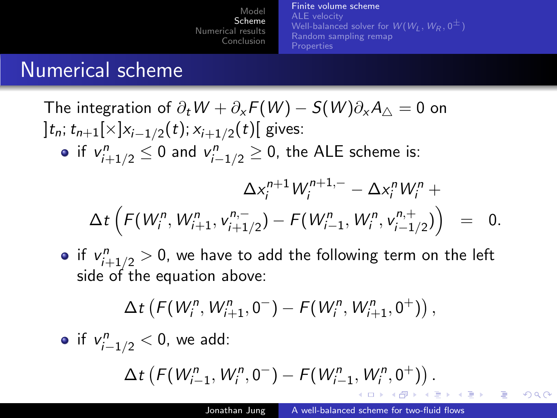[Finite volume scheme](#page-6-0) [ALE velocity](#page-9-0) [Well-balanced solver for](#page-10-0)  $W(W_L, W_R, 0^{\pm})$ [Random sampling remap](#page-15-0) **[Properties](#page-16-0)** 

## Numerical scheme

The integration of  $\partial_t W + \partial_x F(W) - S(W) \partial_x A_{\wedge} = 0$  on ]  $t_n$ ;  $t_{n+1}$ [×] $x_{i-1/2}(t)$ ;  $x_{i+1/2}(t)$ [ gives: if  $v_{i+1/2}^n \leq 0$  and  $v_{i-1/2}^n \geq 0$ , the ALE scheme is:  $\Delta x_i^{n+1} W_i^{n+1,-} - \Delta x_i^n W_i^n +$  $\Delta t\left(F(W_{i}^n,W_{i+1}^n,v_{i+1}^{n,-}% ,\mathcal{V}_{i+1}^{n,-},W_{i+1}^{n,-},\mathcal{V}_{i+1}^{n,-},\mathcal{V}_{i+1}^{n,-},\mathcal{V}_{i+1}^{n,-},\mathcal{V}_{i+1}^{n,-},\mathcal{V}_{i+1}^{n,-},\mathcal{V}_{i+1}^{n,-},\mathcal{V}_{i+1}^{n,-},\mathcal{V}_{i+1}^{n,-},\mathcal{V}_{i+1}^{n,-},\mathcal{V}_{i+1}^{n,-},\mathcal{V}_{i+1}^{n,-},\mathcal{V}_{i+1}^{$  $\mathcal{F}_{i+1/2}^{n,-}$ ) –  $\mathcal{F}(W_{i-1}^n, W_i^n, v_{i-1}^{n,+})$  $\binom{n,+}{i-1/2}$  = 0.

if  $v_{i+1/2}^n > 0$ , we have to add the following term on the left side of the equation above:

$$
\Delta t \left( F(W_i^n, W_{i+1}^n, 0^-) - F(W_i^n, W_{i+1}^n, 0^+) \right),
$$

• if 
$$
v_{i-1/2}^n < 0
$$
, we add:

$$
\Delta t \left( F(W_{i-1}^n, W_i^n, 0^-) - F(W_{i-1}^n, W_i^n, 0^+) \right).
$$

メター・メモ トラモー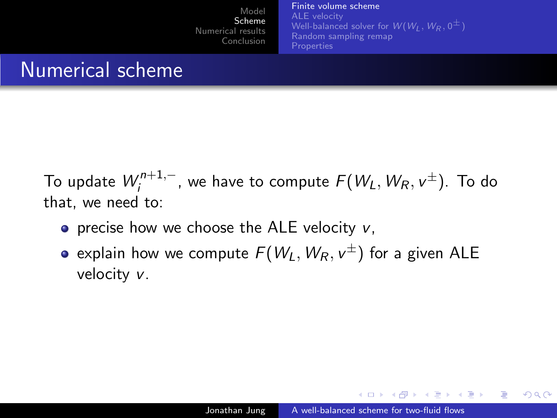[Finite volume scheme](#page-6-0) [ALE velocity](#page-9-0) [Well-balanced solver for](#page-10-0)  $W(W_1, W_R, 0^{\pm})$ [Random sampling remap](#page-15-0) **[Properties](#page-16-0)** 

## Numerical scheme

To update  $W^{n+1,-}_{i}$  $\int_{i}^{n+1,-}$ , we have to compute  $F(W_{L},W_{R},\nu^{\pm})$ . To do that, we need to:

- $\bullet$  precise how we choose the ALE velocity v.
- explain how we compute  $\mathit{F}(W_L,W_R,v^\pm)$  for a given <code>ALE</code> velocity v.

- ④ 伊 ▶ ④ ヨ ▶ ④ ヨ ▶

 $\Omega$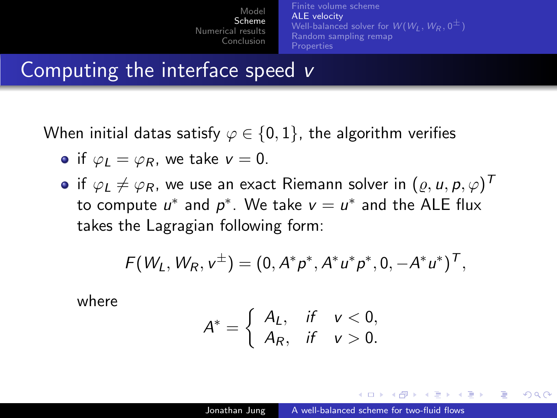[Finite volume scheme](#page-6-0) [ALE velocity](#page-9-0) [Well-balanced solver for](#page-10-0)  $W(W_L, W_R, 0^{\pm})$ [Random sampling remap](#page-15-0) **[Properties](#page-16-0)** 

## Computing the interface speed v

When initial datas satisfy  $\varphi \in \{0,1\}$ , the algorithm verifies

- if  $\varphi_l = \varphi_R$ , we take  $v = 0$ .
- if  $\varphi_L \neq \varphi_R$ , we use an exact Riemann solver in  $(\varrho, u, \rho, \varphi)^{\sf \scriptscriptstyle T}$ to compute  $u^*$  and  $p^*$ . We take  $v = u^*$  and the ALE flux takes the Lagragian following form:

$$
F(W_L, W_R, v^{\pm}) = (0, A^*p^*, A^*u^*p^*, 0, -A^*u^*)^T,
$$

where

$$
A^* = \left\{ \begin{array}{ll} A_L, & \text{if } v < 0, \\ A_R, & \text{if } v > 0. \end{array} \right.
$$

<span id="page-9-0"></span>オター・オート オート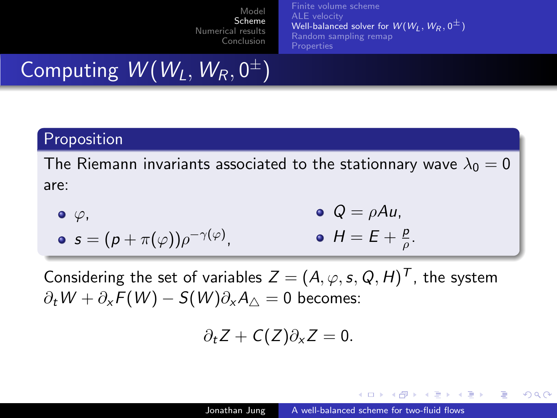[Finite volume scheme](#page-6-0) [ALE velocity](#page-9-0) [Well-balanced solver for](#page-10-0)  $W(W_1, W_R, 0^{\pm})$ [Random sampling remap](#page-15-0) [Properties](#page-16-0)

# Computing  $\mathcal{W}(W_L,W_R,0^\pm)$

#### Proposition

The Riemann invariants associated to the stationnary wave  $\lambda_0 = 0$ are:

\n- $$
\varphi
$$
\n- $\varphi$
\n- $\varphi = \rho A u$
\n- $\varphi = \varphi A u$
\n- $\varphi = \varphi A u$
\n- $\varphi = \varphi A u$
\n- $\varphi = \varphi A u$
\n- $\varphi = \varphi A u$
\n

Considering the set of variables  $Z = (A, \varphi, s, Q, H)^T$ , the system  $\partial_t W + \partial_x F(W) - S(W) \partial_x A_{\wedge} = 0$  becomes:

$$
\partial_t Z+C(Z)\partial_x Z=0.
$$

<span id="page-10-0"></span>∢何 ▶ ∢ ヨ ▶ ∢ ヨ ▶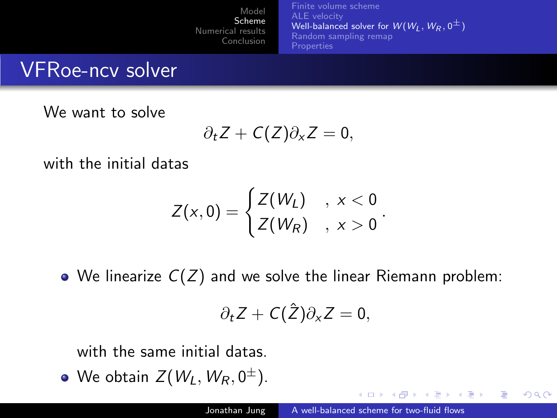[Finite volume scheme](#page-6-0) [ALE velocity](#page-9-0) [Well-balanced solver for](#page-10-0)  $W(W_1, W_R, 0^{\pm})$ [Random sampling remap](#page-15-0) **[Properties](#page-16-0)** 

## VFRoe-ncv solver

We want to solve

 $\partial_t Z + C(Z) \partial_x Z = 0$ ,

with the initial datas

$$
Z(x,0)=\begin{cases} Z(W_L) , & x<0\\ Z(W_R) , & x>0 \end{cases}.
$$

 $\bullet$  We linearize  $C(Z)$  and we solve the linear Riemann problem:

$$
\partial_t Z + C(\hat{Z}) \partial_x Z = 0,
$$

with the same initial datas.

We obtain  $Z(\mathit{W}_{L},\mathit{W}_{R},0^{\pm}).$ 

イロメ イ母メ イヨメ イヨメ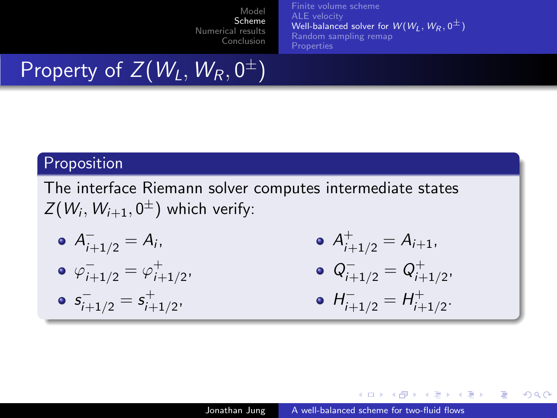[Finite volume scheme](#page-6-0) [ALE velocity](#page-9-0) [Well-balanced solver for](#page-10-0)  $W(W_1, W_R, 0^{\pm})$ [Random sampling remap](#page-15-0) **[Properties](#page-16-0)** 

# Property of  $Z(W_{L},W_{R},0^{\pm})$

### Proposition

The interface Riemann solver computes intermediate states  $Z(W_{i},W_{i+1},0^{\pm})$  which verify:

$$
\bullet \ \ A^-_{i+1/2}=A_i.
$$

$$
\bullet\ \varphi_{i+1/2}^-=\varphi_{i+1/2}^+,
$$

$$
\bullet \; s_{i+1/2}^-=s_{i+1/2}^+,
$$

$$
\bullet \ \ A^+_{i+1/2} = A_{i+1},
$$

$$
\bullet \ \ Q^-_{i+1/2} = \ Q^+_{i+1/2},
$$

• 
$$
H_{i+1/2}^- = H_{i+1/2}^+
$$
.

イロメ イ母メ イヨメ イヨメー

э

 $\Omega$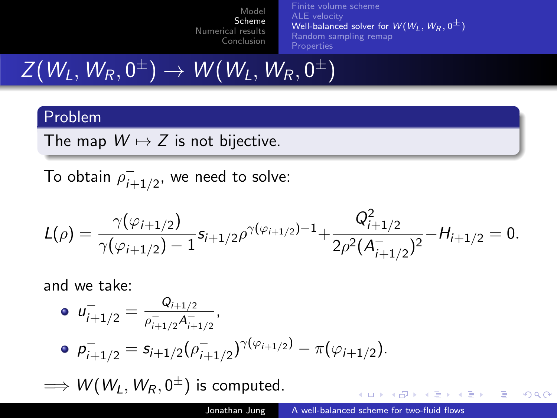[Finite volume scheme](#page-6-0) [ALE velocity](#page-9-0) [Well-balanced solver for](#page-10-0)  $W(W_1, W_R, 0^{\pm})$ [Random sampling remap](#page-15-0) [Properties](#page-16-0)

 $Z(\mathit{W}_{L},\mathit{W}_{R},0^{\pm}) \rightarrow \mathit{W}(\mathit{W}_{L},\mathit{W}_{R},0^{\pm})$ 

#### Problem

The map  $W \mapsto Z$  is not bijective.

To obtain  $\rho_{i\perp}^ \bar{i}_{+1/2}^-,$  we need to solve:

$$
L(\rho) = \frac{\gamma(\varphi_{i+1/2})}{\gamma(\varphi_{i+1/2}) - 1} s_{i+1/2} \rho^{\gamma(\varphi_{i+1/2}) - 1} + \frac{Q_{i+1/2}^2}{2\rho^2 (A_{i+1/2}^-)^2} - H_{i+1/2} = 0.
$$

and we take:

\n- \n
$$
u_{i+1/2}^{-} = \frac{Q_{i+1/2}}{\rho_{i+1/2}^{-} A_{i+1/2}^{-}},
$$
\n
\n- \n
$$
p_{i+1/2}^{-} = s_{i+1/2} \left( \rho_{i+1/2}^{-} \right)^{\gamma(\varphi_{i+1/2})} - \pi(\varphi_{i+1/2}).
$$
\n
\n

 $\Longrightarrow$   ${\cal W}(W_L,W_R,0^\pm)$  is computed.

イロト イ母 トイヨ トイヨ トー

 $QQ$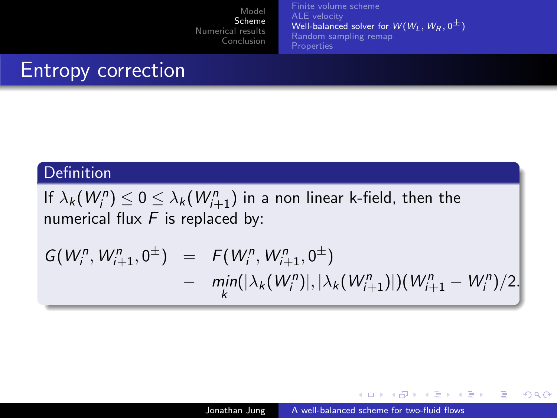[Finite volume scheme](#page-6-0) [ALE velocity](#page-9-0) [Well-balanced solver for](#page-10-0)  $W(W_1, W_R, 0^{\pm})$ [Random sampling remap](#page-15-0) [Properties](#page-16-0)

# Entropy correction

#### Definition

If  $\lambda_k(W_{i}^n) \leq 0 \leq \lambda_k(W_{i+1}^n)$  in a non linear k-field, then the numerical flux  $F$  is replaced by:

$$
G(W_i^n, W_{i+1}^n, 0^{\pm}) = F(W_i^n, W_{i+1}^n, 0^{\pm})
$$
  
- 
$$
\min_k(|\lambda_k(W_i^n)|, |\lambda_k(W_{i+1}^n)|)(W_{i+1}^n - W_i^n)/2.
$$

and in

→ (母) → → ヨ) → → ヨ) →

э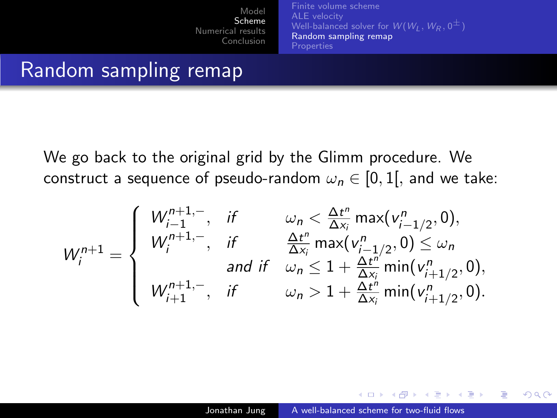[Finite volume scheme](#page-6-0) [ALE velocity](#page-9-0) [Well-balanced solver for](#page-10-0)  $W(W_1, W_R, 0^{\pm})$ [Random sampling remap](#page-15-0) **[Properties](#page-16-0)** 

## Random sampling remap

We go back to the original grid by the Glimm procedure. We construct a sequence of pseudo-random  $\omega_n \in [0,1]$ , and we take:

$$
W_{i}^{n+1} = \begin{cases} W_{i-1}^{n+1,-}, & \text{if } \omega_{n} < \frac{\Delta t^{n}}{\Delta x_{i}} \max(v_{i-1/2}^{n}, 0), \\ W_{i}^{n+1,-}, & \text{if } \frac{\Delta t^{n}}{\Delta x_{i}} \max(v_{i-1/2}^{n}, 0) \leq \omega_{n} \\ & \text{and if } \omega_{n} \leq 1 + \frac{\Delta t^{n}}{\Delta x_{i}} \min(v_{i+1/2}^{n}, 0), \\ W_{i+1}^{n+1,-}, & \text{if } \omega_{n} > 1 + \frac{\Delta t^{n}}{\Delta x_{i}} \min(v_{i+1/2}^{n}, 0). \end{cases}
$$

4 17 18

∢何 ▶ ∢ ヨ ▶ ∢ ヨ ▶

<span id="page-15-0"></span> $\Omega$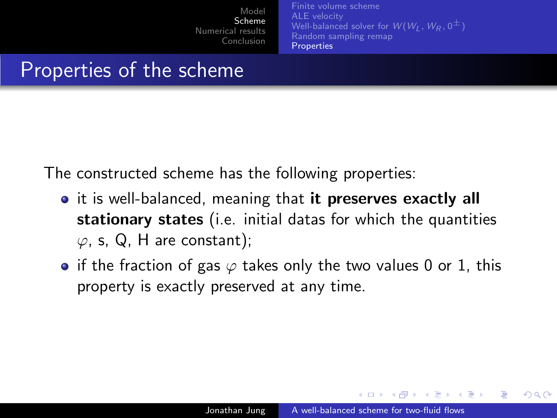<span id="page-16-0"></span>[Finite volume scheme](#page-6-0) [ALE velocity](#page-9-0) [Well-balanced solver for](#page-10-0)  $W(W_1, W_R, 0^{\pm})$ [Random sampling remap](#page-15-0) **[Properties](#page-16-0)** 

## Properties of the scheme

The constructed scheme has the following properties:

- it is well-balanced, meaning that it preserves exactly all stationary states (i.e. initial datas for which the quantities  $\varphi$ , s, Q, H are constant);
- if the fraction of gas  $\varphi$  takes only the two values 0 or 1, this property is exactly preserved at any time.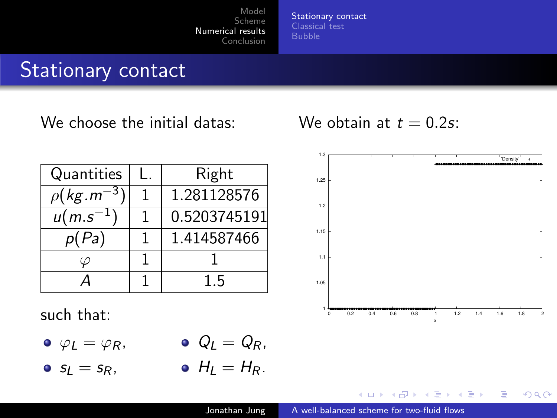[Stationary contact](#page-17-0) [Classical test](#page-18-0)

## Stationary contact

We choose the initial datas:

Quantities | L. | Right  $\rho$ (kg.m $^{-3}$ ) 1 1.281128576  $u(m.s^{-1})$ ) 1 0.5203745191  $p(Pa)$  | 1 | 1.414587466  $\varphi$  | 1 | 1  $A \begin{array}{|c|c|c|} \hline 1 & 1.5 \end{array}$ 

such that:

- $\varphi_I = \varphi_R$ ,  $Q_l = Q_R$ ,
- $s<sub>I</sub> = s<sub>R</sub>$ ,  $H_1 = H_R$ .

We obtain at  $t = 0.2$ s:



 $QQ$ 

<span id="page-17-0"></span>э

4 17 18

 $\overline{AB}$ 一 4 三 下 - 4 三 ト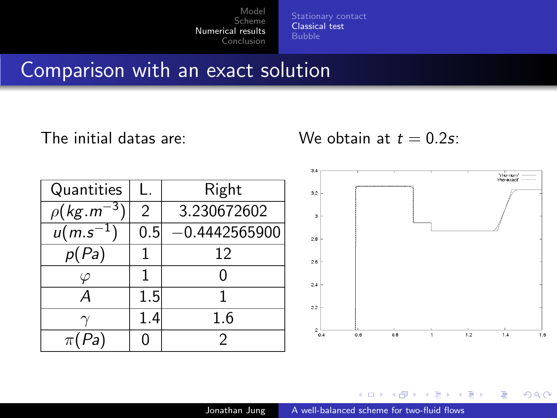[Classical test](#page-18-0) [Bubble](#page-20-0)

### Comparison with an exact solution

### The initial datas are:

We obtain at  $t = 0.2$ s:

| Quantities                 | Ι.            | Right           |
|----------------------------|---------------|-----------------|
| $\rho$ (kg.m <sup>-3</sup> | $\mathcal{P}$ | 3.230672602     |
| $u(m.s^{-1})$              | 0.5           | $-0.4442565900$ |
| p(Pa)                      |               | 12              |
|                            |               |                 |
| А                          | 1.5           |                 |
|                            | 1.4           | 1.6             |
| $\pi(Pa)$                  |               |                 |



э × 性 **B** 

 $\sim$ 

Þ

<span id="page-18-0"></span>つくへ

 $\leftarrow$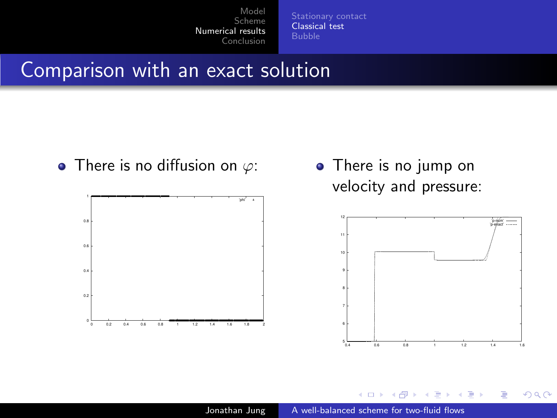[Classical test](#page-18-0)

### Comparison with an exact solution

• There is no diffusion on  $\varphi$ :



• There is no jump on velocity and pressure:



 $QQ$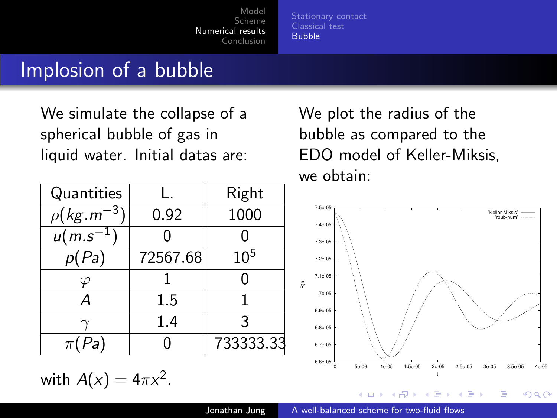[Stationary contact](#page-17-0) [Classical test](#page-18-0) [Bubble](#page-20-0)

### Implosion of a bubble

We simulate the collapse of a spherical bubble of gas in liquid water. Initial datas are:

| Quantities                 |          | Right     |
|----------------------------|----------|-----------|
| $\rho(\textit{kg}.m^{-3})$ | 0.92     | 1000      |
| $u(m.s^{-1})$              |          |           |
| p(Pa)                      | 72567.68 | $10^{5}$  |
|                            |          | 0         |
| А                          | 1.5      |           |
|                            | 1.4      | 3         |
| Pa)<br>$\pi($              |          | 733333.33 |

with  $A(x) = 4\pi x^2$ .

We plot the radius of the bubble as compared to the EDO model of Keller-Miksis, we obtain:



<span id="page-20-0"></span>任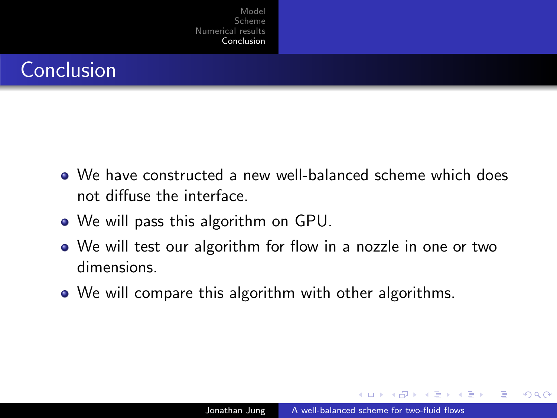# Conclusion

- We have constructed a new well-balanced scheme which does not diffuse the interface.
- We will pass this algorithm on GPU.
- We will test our algorithm for flow in a nozzle in one or two dimensions.
- <span id="page-21-0"></span>• We will compare this algorithm with other algorithms.